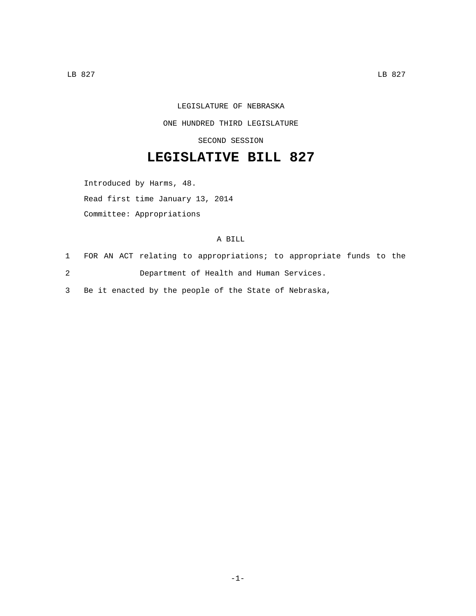## LEGISLATURE OF NEBRASKA

ONE HUNDRED THIRD LEGISLATURE

SECOND SESSION

## **LEGISLATIVE BILL 827**

Introduced by Harms, 48.

Read first time January 13, 2014

Committee: Appropriations

## A BILL

- 1 FOR AN ACT relating to appropriations; to appropriate funds to the
- 2 Department of Health and Human Services.

3 Be it enacted by the people of the State of Nebraska,